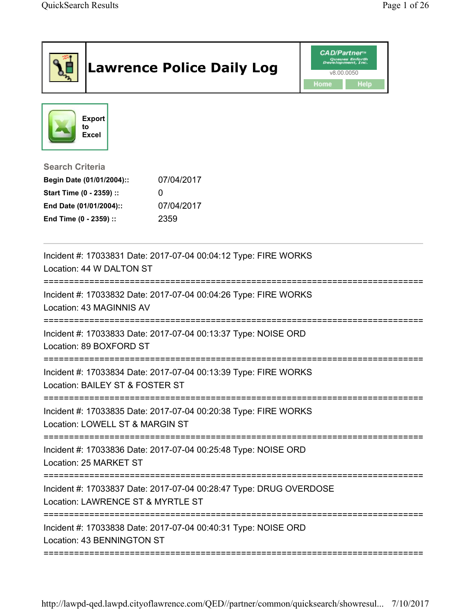|                                                                                              | <b>Lawrence Police Daily Log</b>                                   | <b>CAD/Partner</b> <sup>*</sup><br>welopment, Inc<br>v8.00.0050<br>Home<br>Help |
|----------------------------------------------------------------------------------------------|--------------------------------------------------------------------|---------------------------------------------------------------------------------|
| <b>Export</b><br>to<br><b>Excel</b>                                                          |                                                                    |                                                                                 |
| <b>Search Criteria</b><br>Begin Date (01/01/2004)::                                          | 07/04/2017                                                         |                                                                                 |
| Start Time (0 - 2359) ::                                                                     |                                                                    |                                                                                 |
| End Date (01/01/2004)::                                                                      | 07/04/2017                                                         |                                                                                 |
| End Time (0 - 2359) ::                                                                       | 2359                                                               |                                                                                 |
| Location: 44 W DALTON ST                                                                     | Incident #: 17033831 Date: 2017-07-04 00:04:12 Type: FIRE WORKS    |                                                                                 |
| Location: 43 MAGINNIS AV                                                                     | Incident #: 17033832 Date: 2017-07-04 00:04:26 Type: FIRE WORKS    |                                                                                 |
| Location: 89 BOXFORD ST                                                                      | Incident #: 17033833 Date: 2017-07-04 00:13:37 Type: NOISE ORD     |                                                                                 |
| Location: BAILEY ST & FOSTER ST                                                              | Incident #: 17033834 Date: 2017-07-04 00:13:39 Type: FIRE WORKS    |                                                                                 |
| Location: LOWELL ST & MARGIN ST                                                              | Incident #: 17033835 Date: 2017-07-04 00:20:38 Type: FIRE WORKS    |                                                                                 |
| Location: 25 MARKET ST                                                                       | Incident #: 17033836 Date: 2017-07-04 00:25:48 Type: NOISE ORD     |                                                                                 |
| Location: LAWRENCE ST & MYRTLE ST                                                            | Incident #: 17033837 Date: 2017-07-04 00:28:47 Type: DRUG OVERDOSE |                                                                                 |
| Incident #: 17033838 Date: 2017-07-04 00:40:31 Type: NOISE ORD<br>Location: 43 BENNINGTON ST |                                                                    |                                                                                 |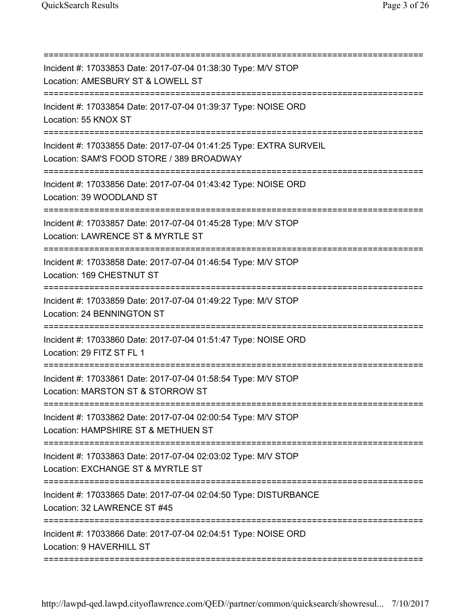| Incident #: 17033853 Date: 2017-07-04 01:38:30 Type: M/V STOP<br>Location: AMESBURY ST & LOWELL ST<br>:================================== |
|-------------------------------------------------------------------------------------------------------------------------------------------|
| Incident #: 17033854 Date: 2017-07-04 01:39:37 Type: NOISE ORD<br>Location: 55 KNOX ST                                                    |
| Incident #: 17033855 Date: 2017-07-04 01:41:25 Type: EXTRA SURVEIL<br>Location: SAM'S FOOD STORE / 389 BROADWAY                           |
| Incident #: 17033856 Date: 2017-07-04 01:43:42 Type: NOISE ORD<br>Location: 39 WOODLAND ST                                                |
| Incident #: 17033857 Date: 2017-07-04 01:45:28 Type: M/V STOP<br>Location: LAWRENCE ST & MYRTLE ST                                        |
| Incident #: 17033858 Date: 2017-07-04 01:46:54 Type: M/V STOP<br>Location: 169 CHESTNUT ST                                                |
| Incident #: 17033859 Date: 2017-07-04 01:49:22 Type: M/V STOP<br>Location: 24 BENNINGTON ST                                               |
| Incident #: 17033860 Date: 2017-07-04 01:51:47 Type: NOISE ORD<br>Location: 29 FITZ ST FL 1                                               |
| Incident #: 17033861 Date: 2017-07-04 01:58:54 Type: M/V STOP<br>Location: MARSTON ST & STORROW ST                                        |
| Incident #: 17033862 Date: 2017-07-04 02:00:54 Type: M/V STOP<br>Location: HAMPSHIRE ST & METHUEN ST                                      |
| Incident #: 17033863 Date: 2017-07-04 02:03:02 Type: M/V STOP<br>Location: EXCHANGE ST & MYRTLE ST                                        |
| Incident #: 17033865 Date: 2017-07-04 02:04:50 Type: DISTURBANCE<br>Location: 32 LAWRENCE ST #45                                          |
| Incident #: 17033866 Date: 2017-07-04 02:04:51 Type: NOISE ORD<br>Location: 9 HAVERHILL ST                                                |
|                                                                                                                                           |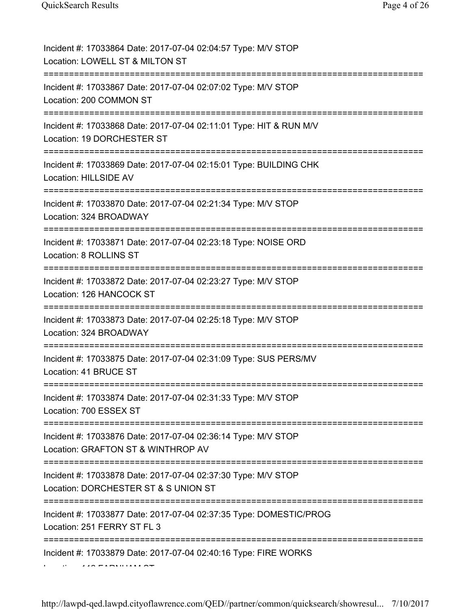| Incident #: 17033864 Date: 2017-07-04 02:04:57 Type: M/V STOP<br>Location: LOWELL ST & MILTON ST                                 |
|----------------------------------------------------------------------------------------------------------------------------------|
| Incident #: 17033867 Date: 2017-07-04 02:07:02 Type: M/V STOP<br>Location: 200 COMMON ST                                         |
| Incident #: 17033868 Date: 2017-07-04 02:11:01 Type: HIT & RUN M/V<br>Location: 19 DORCHESTER ST<br>=====================        |
| Incident #: 17033869 Date: 2017-07-04 02:15:01 Type: BUILDING CHK<br>Location: HILLSIDE AV                                       |
| Incident #: 17033870 Date: 2017-07-04 02:21:34 Type: M/V STOP<br>Location: 324 BROADWAY                                          |
| Incident #: 17033871 Date: 2017-07-04 02:23:18 Type: NOISE ORD<br>Location: 8 ROLLINS ST                                         |
| Incident #: 17033872 Date: 2017-07-04 02:23:27 Type: M/V STOP<br>Location: 126 HANCOCK ST                                        |
| Incident #: 17033873 Date: 2017-07-04 02:25:18 Type: M/V STOP<br>Location: 324 BROADWAY                                          |
| Incident #: 17033875 Date: 2017-07-04 02:31:09 Type: SUS PERS/MV<br>Location: 41 BRUCE ST                                        |
| Incident #: 17033874 Date: 2017-07-04 02:31:33 Type: M/V STOP<br>Location: 700 ESSEX ST                                          |
| Incident #: 17033876 Date: 2017-07-04 02:36:14 Type: M/V STOP<br>Location: GRAFTON ST & WINTHROP AV<br>========================= |
| Incident #: 17033878 Date: 2017-07-04 02:37:30 Type: M/V STOP<br>Location: DORCHESTER ST & S UNION ST                            |
| Incident #: 17033877 Date: 2017-07-04 02:37:35 Type: DOMESTIC/PROG<br>Location: 251 FERRY ST FL 3                                |
| Incident #: 17033879 Date: 2017-07-04 02:40:16 Type: FIRE WORKS                                                                  |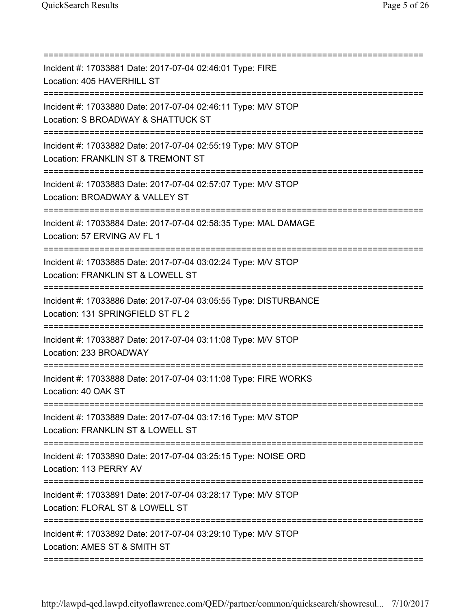| Incident #: 17033881 Date: 2017-07-04 02:46:01 Type: FIRE<br>Location: 405 HAVERHILL ST<br>;===================================<br>================================ |
|---------------------------------------------------------------------------------------------------------------------------------------------------------------------|
| Incident #: 17033880 Date: 2017-07-04 02:46:11 Type: M/V STOP<br>Location: S BROADWAY & SHATTUCK ST                                                                 |
| Incident #: 17033882 Date: 2017-07-04 02:55:19 Type: M/V STOP<br>Location: FRANKLIN ST & TREMONT ST                                                                 |
| Incident #: 17033883 Date: 2017-07-04 02:57:07 Type: M/V STOP<br>Location: BROADWAY & VALLEY ST                                                                     |
| Incident #: 17033884 Date: 2017-07-04 02:58:35 Type: MAL DAMAGE<br>Location: 57 ERVING AV FL 1                                                                      |
| Incident #: 17033885 Date: 2017-07-04 03:02:24 Type: M/V STOP<br>Location: FRANKLIN ST & LOWELL ST                                                                  |
| Incident #: 17033886 Date: 2017-07-04 03:05:55 Type: DISTURBANCE<br>Location: 131 SPRINGFIELD ST FL 2                                                               |
| Incident #: 17033887 Date: 2017-07-04 03:11:08 Type: M/V STOP<br>Location: 233 BROADWAY                                                                             |
| Incident #: 17033888 Date: 2017-07-04 03:11:08 Type: FIRE WORKS<br>Location: 40 OAK ST                                                                              |
| Incident #: 17033889 Date: 2017-07-04 03:17:16 Type: M/V STOP<br>Location: FRANKLIN ST & LOWELL ST                                                                  |
| Incident #: 17033890 Date: 2017-07-04 03:25:15 Type: NOISE ORD<br>Location: 113 PERRY AV                                                                            |
| Incident #: 17033891 Date: 2017-07-04 03:28:17 Type: M/V STOP<br>Location: FLORAL ST & LOWELL ST                                                                    |
| Incident #: 17033892 Date: 2017-07-04 03:29:10 Type: M/V STOP<br>Location: AMES ST & SMITH ST                                                                       |
|                                                                                                                                                                     |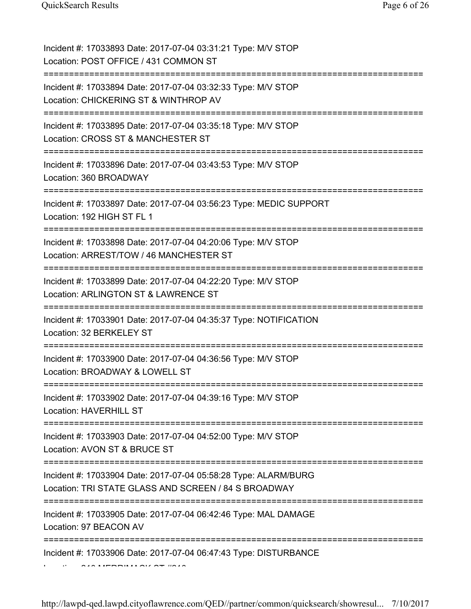| Incident #: 17033893 Date: 2017-07-04 03:31:21 Type: M/V STOP<br>Location: POST OFFICE / 431 COMMON ST                                 |
|----------------------------------------------------------------------------------------------------------------------------------------|
| Incident #: 17033894 Date: 2017-07-04 03:32:33 Type: M/V STOP<br>Location: CHICKERING ST & WINTHROP AV                                 |
| Incident #: 17033895 Date: 2017-07-04 03:35:18 Type: M/V STOP<br>Location: CROSS ST & MANCHESTER ST<br>=============================== |
| Incident #: 17033896 Date: 2017-07-04 03:43:53 Type: M/V STOP<br>Location: 360 BROADWAY                                                |
| Incident #: 17033897 Date: 2017-07-04 03:56:23 Type: MEDIC SUPPORT<br>Location: 192 HIGH ST FL 1<br>================================== |
| Incident #: 17033898 Date: 2017-07-04 04:20:06 Type: M/V STOP<br>Location: ARREST/TOW / 46 MANCHESTER ST                               |
| Incident #: 17033899 Date: 2017-07-04 04:22:20 Type: M/V STOP<br>Location: ARLINGTON ST & LAWRENCE ST<br>==========================    |
| Incident #: 17033901 Date: 2017-07-04 04:35:37 Type: NOTIFICATION<br>Location: 32 BERKELEY ST                                          |
| Incident #: 17033900 Date: 2017-07-04 04:36:56 Type: M/V STOP<br>Location: BROADWAY & LOWELL ST                                        |
| Incident #: 17033902 Date: 2017-07-04 04:39:16 Type: M/V STOP<br><b>Location: HAVERHILL ST</b><br>=========================            |
| Incident #: 17033903 Date: 2017-07-04 04:52:00 Type: M/V STOP<br>Location: AVON ST & BRUCE ST<br>=============                         |
| Incident #: 17033904 Date: 2017-07-04 05:58:28 Type: ALARM/BURG<br>Location: TRI STATE GLASS AND SCREEN / 84 S BROADWAY                |
| Incident #: 17033905 Date: 2017-07-04 06:42:46 Type: MAL DAMAGE<br>Location: 97 BEACON AV                                              |
| Incident #: 17033906 Date: 2017-07-04 06:47:43 Type: DISTURBANCE                                                                       |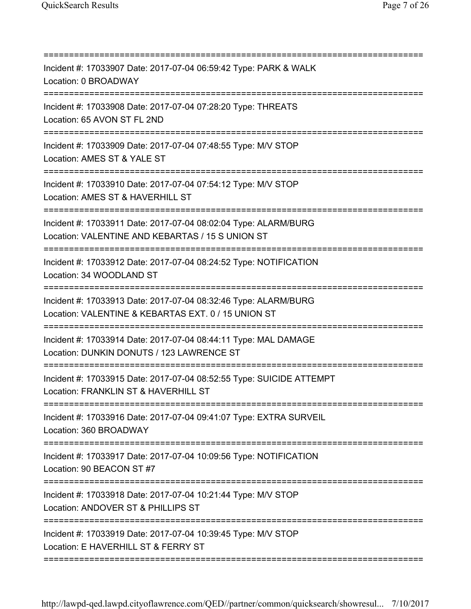| Incident #: 17033907 Date: 2017-07-04 06:59:42 Type: PARK & WALK<br>Location: 0 BROADWAY<br>Incident #: 17033908 Date: 2017-07-04 07:28:20 Type: THREATS<br>Location: 65 AVON ST FL 2ND<br>Incident #: 17033909 Date: 2017-07-04 07:48:55 Type: M/V STOP<br>Location: AMES ST & YALE ST<br>Incident #: 17033910 Date: 2017-07-04 07:54:12 Type: M/V STOP<br>Location: AMES ST & HAVERHILL ST<br>Incident #: 17033911 Date: 2017-07-04 08:02:04 Type: ALARM/BURG<br>Location: VALENTINE AND KEBARTAS / 15 S UNION ST<br>Incident #: 17033912 Date: 2017-07-04 08:24:52 Type: NOTIFICATION |
|------------------------------------------------------------------------------------------------------------------------------------------------------------------------------------------------------------------------------------------------------------------------------------------------------------------------------------------------------------------------------------------------------------------------------------------------------------------------------------------------------------------------------------------------------------------------------------------|
|                                                                                                                                                                                                                                                                                                                                                                                                                                                                                                                                                                                          |
|                                                                                                                                                                                                                                                                                                                                                                                                                                                                                                                                                                                          |
|                                                                                                                                                                                                                                                                                                                                                                                                                                                                                                                                                                                          |
|                                                                                                                                                                                                                                                                                                                                                                                                                                                                                                                                                                                          |
|                                                                                                                                                                                                                                                                                                                                                                                                                                                                                                                                                                                          |
| Location: 34 WOODLAND ST                                                                                                                                                                                                                                                                                                                                                                                                                                                                                                                                                                 |
| Incident #: 17033913 Date: 2017-07-04 08:32:46 Type: ALARM/BURG<br>Location: VALENTINE & KEBARTAS EXT. 0 / 15 UNION ST                                                                                                                                                                                                                                                                                                                                                                                                                                                                   |
| =====================================<br>====================<br>Incident #: 17033914 Date: 2017-07-04 08:44:11 Type: MAL DAMAGE<br>Location: DUNKIN DONUTS / 123 LAWRENCE ST                                                                                                                                                                                                                                                                                                                                                                                                            |
| Incident #: 17033915 Date: 2017-07-04 08:52:55 Type: SUICIDE ATTEMPT<br>Location: FRANKLIN ST & HAVERHILL ST                                                                                                                                                                                                                                                                                                                                                                                                                                                                             |
| Incident #: 17033916 Date: 2017-07-04 09:41:07 Type: EXTRA SURVEIL<br>Location: 360 BROADWAY                                                                                                                                                                                                                                                                                                                                                                                                                                                                                             |
| Incident #: 17033917 Date: 2017-07-04 10:09:56 Type: NOTIFICATION<br>Location: 90 BEACON ST #7                                                                                                                                                                                                                                                                                                                                                                                                                                                                                           |
| Incident #: 17033918 Date: 2017-07-04 10:21:44 Type: M/V STOP<br>Location: ANDOVER ST & PHILLIPS ST                                                                                                                                                                                                                                                                                                                                                                                                                                                                                      |
| Incident #: 17033919 Date: 2017-07-04 10:39:45 Type: M/V STOP<br>Location: E HAVERHILL ST & FERRY ST                                                                                                                                                                                                                                                                                                                                                                                                                                                                                     |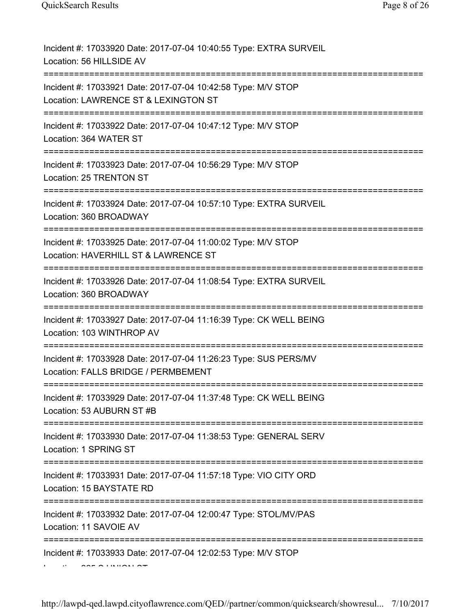| Incident #: 17033920 Date: 2017-07-04 10:40:55 Type: EXTRA SURVEIL<br>Location: 56 HILLSIDE AV                                  |
|---------------------------------------------------------------------------------------------------------------------------------|
| Incident #: 17033921 Date: 2017-07-04 10:42:58 Type: M/V STOP<br>Location: LAWRENCE ST & LEXINGTON ST                           |
| Incident #: 17033922 Date: 2017-07-04 10:47:12 Type: M/V STOP<br>Location: 364 WATER ST                                         |
| Incident #: 17033923 Date: 2017-07-04 10:56:29 Type: M/V STOP<br>Location: 25 TRENTON ST<br>=================================== |
| Incident #: 17033924 Date: 2017-07-04 10:57:10 Type: EXTRA SURVEIL<br>Location: 360 BROADWAY                                    |
| Incident #: 17033925 Date: 2017-07-04 11:00:02 Type: M/V STOP<br>Location: HAVERHILL ST & LAWRENCE ST                           |
| Incident #: 17033926 Date: 2017-07-04 11:08:54 Type: EXTRA SURVEIL<br>Location: 360 BROADWAY                                    |
| Incident #: 17033927 Date: 2017-07-04 11:16:39 Type: CK WELL BEING<br>Location: 103 WINTHROP AV                                 |
| Incident #: 17033928 Date: 2017-07-04 11:26:23 Type: SUS PERS/MV<br>Location: FALLS BRIDGE / PERMBEMENT<br>-------------------  |
| Incident #: 17033929 Date: 2017-07-04 11:37:48 Type: CK WELL BEING<br>Location: 53 AUBURN ST #B                                 |
| Incident #: 17033930 Date: 2017-07-04 11:38:53 Type: GENERAL SERV<br>Location: 1 SPRING ST                                      |
| Incident #: 17033931 Date: 2017-07-04 11:57:18 Type: VIO CITY ORD<br>Location: 15 BAYSTATE RD                                   |
| Incident #: 17033932 Date: 2017-07-04 12:00:47 Type: STOL/MV/PAS<br>Location: 11 SAVOIE AV                                      |
| Incident #: 17033933 Date: 2017-07-04 12:02:53 Type: M/V STOP                                                                   |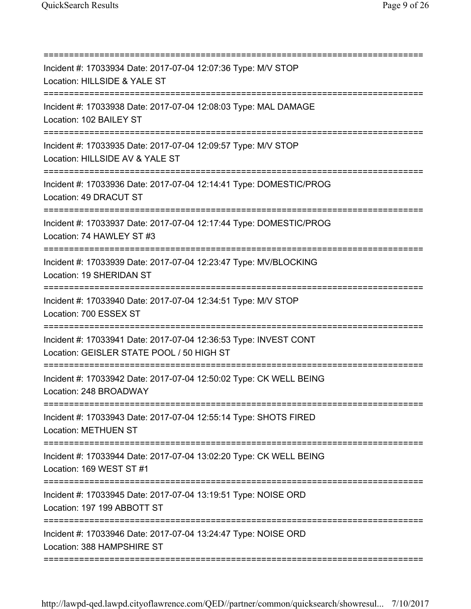| Incident #: 17033934 Date: 2017-07-04 12:07:36 Type: M/V STOP<br>Location: HILLSIDE & YALE ST                                   |
|---------------------------------------------------------------------------------------------------------------------------------|
| Incident #: 17033938 Date: 2017-07-04 12:08:03 Type: MAL DAMAGE<br>Location: 102 BAILEY ST<br>================================= |
| Incident #: 17033935 Date: 2017-07-04 12:09:57 Type: M/V STOP<br>Location: HILLSIDE AV & YALE ST                                |
| Incident #: 17033936 Date: 2017-07-04 12:14:41 Type: DOMESTIC/PROG<br>Location: 49 DRACUT ST                                    |
| Incident #: 17033937 Date: 2017-07-04 12:17:44 Type: DOMESTIC/PROG<br>Location: 74 HAWLEY ST #3                                 |
| Incident #: 17033939 Date: 2017-07-04 12:23:47 Type: MV/BLOCKING<br>Location: 19 SHERIDAN ST                                    |
| Incident #: 17033940 Date: 2017-07-04 12:34:51 Type: M/V STOP<br>Location: 700 ESSEX ST<br>:============================        |
| Incident #: 17033941 Date: 2017-07-04 12:36:53 Type: INVEST CONT<br>Location: GEISLER STATE POOL / 50 HIGH ST                   |
| Incident #: 17033942 Date: 2017-07-04 12:50:02 Type: CK WELL BEING<br>Location: 248 BROADWAY                                    |
| Incident #: 17033943 Date: 2017-07-04 12:55:14 Type: SHOTS FIRED<br><b>Location: METHUEN ST</b>                                 |
| Incident #: 17033944 Date: 2017-07-04 13:02:20 Type: CK WELL BEING<br>Location: 169 WEST ST #1                                  |
| Incident #: 17033945 Date: 2017-07-04 13:19:51 Type: NOISE ORD<br>Location: 197 199 ABBOTT ST                                   |
| Incident #: 17033946 Date: 2017-07-04 13:24:47 Type: NOISE ORD<br>Location: 388 HAMPSHIRE ST                                    |
|                                                                                                                                 |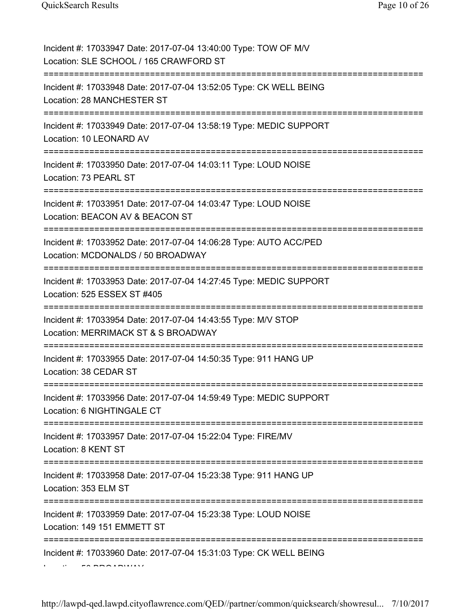| Incident #: 17033947 Date: 2017-07-04 13:40:00 Type: TOW OF M/V<br>Location: SLE SCHOOL / 165 CRAWFORD ST |
|-----------------------------------------------------------------------------------------------------------|
| Incident #: 17033948 Date: 2017-07-04 13:52:05 Type: CK WELL BEING<br>Location: 28 MANCHESTER ST          |
| Incident #: 17033949 Date: 2017-07-04 13:58:19 Type: MEDIC SUPPORT<br>Location: 10 LEONARD AV             |
| Incident #: 17033950 Date: 2017-07-04 14:03:11 Type: LOUD NOISE<br>Location: 73 PEARL ST                  |
| Incident #: 17033951 Date: 2017-07-04 14:03:47 Type: LOUD NOISE<br>Location: BEACON AV & BEACON ST        |
| Incident #: 17033952 Date: 2017-07-04 14:06:28 Type: AUTO ACC/PED<br>Location: MCDONALDS / 50 BROADWAY    |
| Incident #: 17033953 Date: 2017-07-04 14:27:45 Type: MEDIC SUPPORT<br>Location: 525 ESSEX ST #405         |
| Incident #: 17033954 Date: 2017-07-04 14:43:55 Type: M/V STOP<br>Location: MERRIMACK ST & S BROADWAY      |
| Incident #: 17033955 Date: 2017-07-04 14:50:35 Type: 911 HANG UP<br>Location: 38 CEDAR ST                 |
| Incident #: 17033956 Date: 2017-07-04 14:59:49 Type: MEDIC SUPPORT<br>Location: 6 NIGHTINGALE CT          |
| Incident #: 17033957 Date: 2017-07-04 15:22:04 Type: FIRE/MV<br>Location: 8 KENT ST                       |
| Incident #: 17033958 Date: 2017-07-04 15:23:38 Type: 911 HANG UP<br>Location: 353 ELM ST                  |
|                                                                                                           |
| Incident #: 17033959 Date: 2017-07-04 15:23:38 Type: LOUD NOISE<br>Location: 149 151 EMMETT ST            |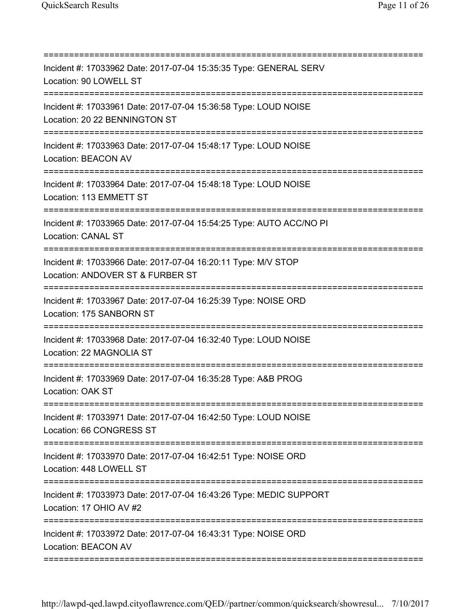=========================================================================== Incident #: 17033962 Date: 2017-07-04 15:35:35 Type: GENERAL SERV Location: 90 LOWELL ST =========================================================================== Incident #: 17033961 Date: 2017-07-04 15:36:58 Type: LOUD NOISE Location: 20 22 BENNINGTON ST =========================================================================== Incident #: 17033963 Date: 2017-07-04 15:48:17 Type: LOUD NOISE Location: BEACON AV =========================================================================== Incident #: 17033964 Date: 2017-07-04 15:48:18 Type: LOUD NOISE Location: 113 EMMETT ST =========================================================================== Incident #: 17033965 Date: 2017-07-04 15:54:25 Type: AUTO ACC/NO PI Location: CANAL ST =========================================================================== Incident #: 17033966 Date: 2017-07-04 16:20:11 Type: M/V STOP Location: ANDOVER ST & FURBER ST =========================================================================== Incident #: 17033967 Date: 2017-07-04 16:25:39 Type: NOISE ORD Location: 175 SANBORN ST =========================================================================== Incident #: 17033968 Date: 2017-07-04 16:32:40 Type: LOUD NOISE Location: 22 MAGNOLIA ST =========================================================================== Incident #: 17033969 Date: 2017-07-04 16:35:28 Type: A&B PROG Location: OAK ST =========================================================================== Incident #: 17033971 Date: 2017-07-04 16:42:50 Type: LOUD NOISE Location: 66 CONGRESS ST =========================================================================== Incident #: 17033970 Date: 2017-07-04 16:42:51 Type: NOISE ORD Location: 448 LOWELL ST =========================================================================== Incident #: 17033973 Date: 2017-07-04 16:43:26 Type: MEDIC SUPPORT Location: 17 OHIO AV #2 =========================================================================== Incident #: 17033972 Date: 2017-07-04 16:43:31 Type: NOISE ORD Location: BEACON AV ===========================================================================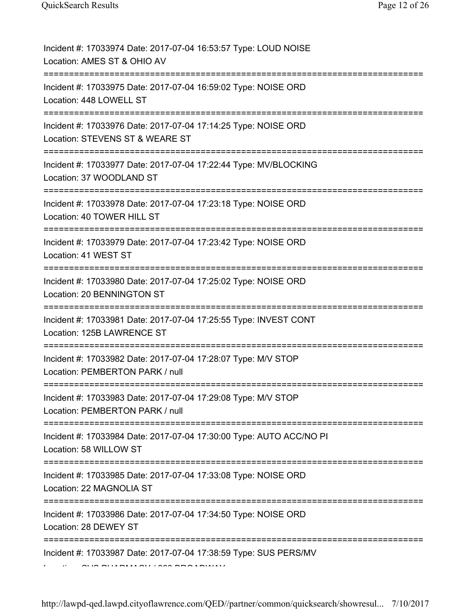| Incident #: 17033974 Date: 2017-07-04 16:53:57 Type: LOUD NOISE<br>Location: AMES ST & OHIO AV                             |
|----------------------------------------------------------------------------------------------------------------------------|
| Incident #: 17033975 Date: 2017-07-04 16:59:02 Type: NOISE ORD<br>Location: 448 LOWELL ST                                  |
| Incident #: 17033976 Date: 2017-07-04 17:14:25 Type: NOISE ORD<br>Location: STEVENS ST & WEARE ST                          |
| Incident #: 17033977 Date: 2017-07-04 17:22:44 Type: MV/BLOCKING<br>Location: 37 WOODLAND ST                               |
| Incident #: 17033978 Date: 2017-07-04 17:23:18 Type: NOISE ORD<br>Location: 40 TOWER HILL ST                               |
| Incident #: 17033979 Date: 2017-07-04 17:23:42 Type: NOISE ORD<br>Location: 41 WEST ST<br>=====================            |
| Incident #: 17033980 Date: 2017-07-04 17:25:02 Type: NOISE ORD<br>Location: 20 BENNINGTON ST<br>=======================    |
| Incident #: 17033981 Date: 2017-07-04 17:25:55 Type: INVEST CONT<br>Location: 125B LAWRENCE ST                             |
| Incident #: 17033982 Date: 2017-07-04 17:28:07 Type: M/V STOP<br>Location: PEMBERTON PARK / null                           |
| Incident #: 17033983 Date: 2017-07-04 17:29:08 Type: M/V STOP<br>Location: PEMBERTON PARK / null                           |
| Incident #: 17033984 Date: 2017-07-04 17:30:00 Type: AUTO ACC/NO PI<br>Location: 58 WILLOW ST<br>========================= |
| Incident #: 17033985 Date: 2017-07-04 17:33:08 Type: NOISE ORD<br>Location: 22 MAGNOLIA ST                                 |
| Incident #: 17033986 Date: 2017-07-04 17:34:50 Type: NOISE ORD<br>Location: 28 DEWEY ST                                    |
| Incident #: 17033987 Date: 2017-07-04 17:38:59 Type: SUS PERS/MV                                                           |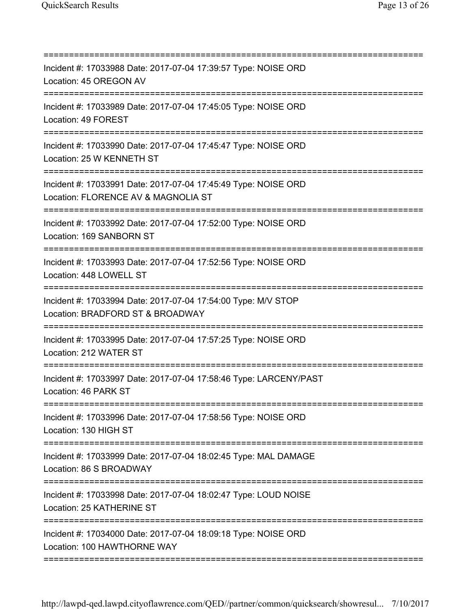| Incident #: 17033988 Date: 2017-07-04 17:39:57 Type: NOISE ORD<br>Location: 45 OREGON AV                                              |
|---------------------------------------------------------------------------------------------------------------------------------------|
| =========================<br>Incident #: 17033989 Date: 2017-07-04 17:45:05 Type: NOISE ORD<br>Location: 49 FOREST                    |
| Incident #: 17033990 Date: 2017-07-04 17:45:47 Type: NOISE ORD<br>Location: 25 W KENNETH ST                                           |
| Incident #: 17033991 Date: 2017-07-04 17:45:49 Type: NOISE ORD<br>Location: FLORENCE AV & MAGNOLIA ST                                 |
| Incident #: 17033992 Date: 2017-07-04 17:52:00 Type: NOISE ORD<br>Location: 169 SANBORN ST                                            |
| Incident #: 17033993 Date: 2017-07-04 17:52:56 Type: NOISE ORD<br>Location: 448 LOWELL ST                                             |
| ================================<br>Incident #: 17033994 Date: 2017-07-04 17:54:00 Type: M/V STOP<br>Location: BRADFORD ST & BROADWAY |
| =============<br>Incident #: 17033995 Date: 2017-07-04 17:57:25 Type: NOISE ORD<br>Location: 212 WATER ST                             |
| Incident #: 17033997 Date: 2017-07-04 17:58:46 Type: LARCENY/PAST<br>Location: 46 PARK ST                                             |
| ;========================<br>Incident #: 17033996 Date: 2017-07-04 17:58:56 Type: NOISE ORD<br>Location: 130 HIGH ST                  |
| Incident #: 17033999 Date: 2017-07-04 18:02:45 Type: MAL DAMAGE<br>Location: 86 S BROADWAY                                            |
| Incident #: 17033998 Date: 2017-07-04 18:02:47 Type: LOUD NOISE<br>Location: 25 KATHERINE ST                                          |
| Incident #: 17034000 Date: 2017-07-04 18:09:18 Type: NOISE ORD<br>Location: 100 HAWTHORNE WAY                                         |
|                                                                                                                                       |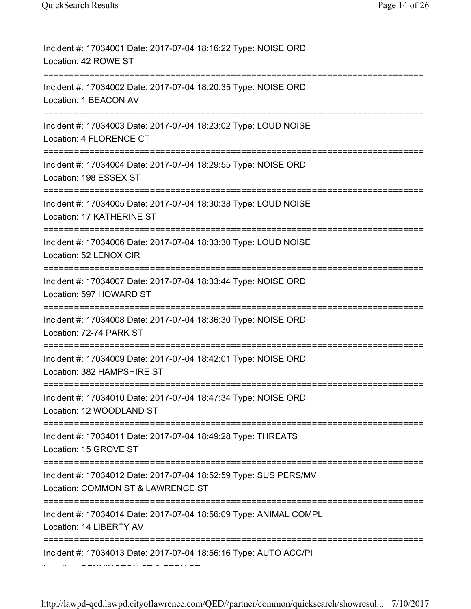| Incident #: 17034001 Date: 2017-07-04 18:16:22 Type: NOISE ORD<br>Location: 42 ROWE ST                                                                |
|-------------------------------------------------------------------------------------------------------------------------------------------------------|
| Incident #: 17034002 Date: 2017-07-04 18:20:35 Type: NOISE ORD<br>Location: 1 BEACON AV                                                               |
| Incident #: 17034003 Date: 2017-07-04 18:23:02 Type: LOUD NOISE<br>Location: 4 FLORENCE CT                                                            |
| Incident #: 17034004 Date: 2017-07-04 18:29:55 Type: NOISE ORD<br>Location: 198 ESSEX ST                                                              |
| Incident #: 17034005 Date: 2017-07-04 18:30:38 Type: LOUD NOISE<br>Location: 17 KATHERINE ST                                                          |
| Incident #: 17034006 Date: 2017-07-04 18:33:30 Type: LOUD NOISE<br>Location: 52 LENOX CIR                                                             |
| Incident #: 17034007 Date: 2017-07-04 18:33:44 Type: NOISE ORD<br>Location: 597 HOWARD ST                                                             |
| Incident #: 17034008 Date: 2017-07-04 18:36:30 Type: NOISE ORD<br>Location: 72-74 PARK ST                                                             |
| Incident #: 17034009 Date: 2017-07-04 18:42:01 Type: NOISE ORD<br>Location: 382 HAMPSHIRE ST                                                          |
| Incident #: 17034010 Date: 2017-07-04 18:47:34 Type: NOISE ORD<br>Location: 12 WOODLAND ST<br>=====================<br>============================== |
| Incident #: 17034011 Date: 2017-07-04 18:49:28 Type: THREATS<br>Location: 15 GROVE ST                                                                 |
| Incident #: 17034012 Date: 2017-07-04 18:52:59 Type: SUS PERS/MV<br>Location: COMMON ST & LAWRENCE ST<br>-----------------------                      |
| Incident #: 17034014 Date: 2017-07-04 18:56:09 Type: ANIMAL COMPL<br>Location: 14 LIBERTY AV                                                          |
| Incident #: 17034013 Date: 2017-07-04 18:56:16 Type: AUTO ACC/PI                                                                                      |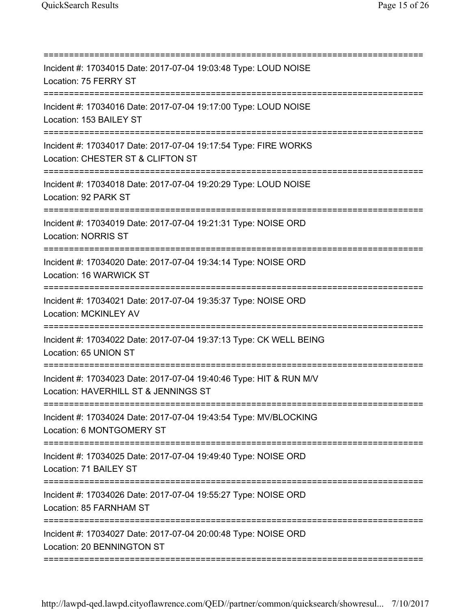| Incident #: 17034015 Date: 2017-07-04 19:03:48 Type: LOUD NOISE<br>Location: 75 FERRY ST                                     |
|------------------------------------------------------------------------------------------------------------------------------|
| Incident #: 17034016 Date: 2017-07-04 19:17:00 Type: LOUD NOISE<br>Location: 153 BAILEY ST<br>------------------------------ |
| Incident #: 17034017 Date: 2017-07-04 19:17:54 Type: FIRE WORKS<br>Location: CHESTER ST & CLIFTON ST                         |
| Incident #: 17034018 Date: 2017-07-04 19:20:29 Type: LOUD NOISE<br>Location: 92 PARK ST<br>====================              |
| Incident #: 17034019 Date: 2017-07-04 19:21:31 Type: NOISE ORD<br><b>Location: NORRIS ST</b>                                 |
| Incident #: 17034020 Date: 2017-07-04 19:34:14 Type: NOISE ORD<br>Location: 16 WARWICK ST                                    |
| Incident #: 17034021 Date: 2017-07-04 19:35:37 Type: NOISE ORD<br>Location: MCKINLEY AV                                      |
| Incident #: 17034022 Date: 2017-07-04 19:37:13 Type: CK WELL BEING<br>Location: 65 UNION ST                                  |
| Incident #: 17034023 Date: 2017-07-04 19:40:46 Type: HIT & RUN M/V<br>Location: HAVERHILL ST & JENNINGS ST                   |
| Incident #: 17034024 Date: 2017-07-04 19:43:54 Type: MV/BLOCKING<br>Location: 6 MONTGOMERY ST                                |
| Incident #: 17034025 Date: 2017-07-04 19:49:40 Type: NOISE ORD<br>Location: 71 BAILEY ST                                     |
| Incident #: 17034026 Date: 2017-07-04 19:55:27 Type: NOISE ORD<br>Location: 85 FARNHAM ST                                    |
| Incident #: 17034027 Date: 2017-07-04 20:00:48 Type: NOISE ORD<br>Location: 20 BENNINGTON ST                                 |
|                                                                                                                              |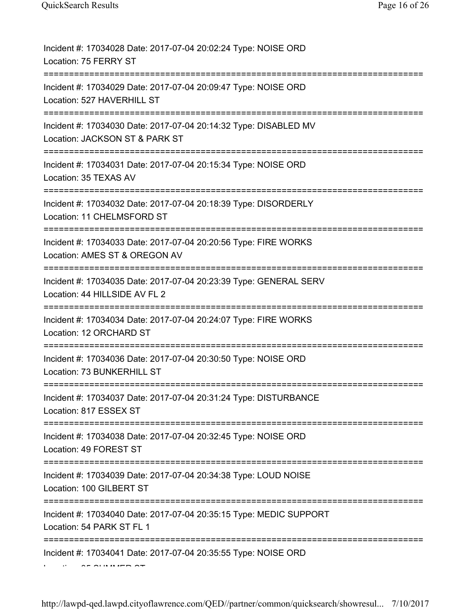| Incident #: 17034028 Date: 2017-07-04 20:02:24 Type: NOISE ORD<br>Location: 75 FERRY ST            |
|----------------------------------------------------------------------------------------------------|
| Incident #: 17034029 Date: 2017-07-04 20:09:47 Type: NOISE ORD<br>Location: 527 HAVERHILL ST       |
| Incident #: 17034030 Date: 2017-07-04 20:14:32 Type: DISABLED MV<br>Location: JACKSON ST & PARK ST |
| Incident #: 17034031 Date: 2017-07-04 20:15:34 Type: NOISE ORD<br>Location: 35 TEXAS AV            |
| Incident #: 17034032 Date: 2017-07-04 20:18:39 Type: DISORDERLY<br>Location: 11 CHELMSFORD ST      |
| Incident #: 17034033 Date: 2017-07-04 20:20:56 Type: FIRE WORKS<br>Location: AMES ST & OREGON AV   |
| Incident #: 17034035 Date: 2017-07-04 20:23:39 Type: GENERAL SERV<br>Location: 44 HILLSIDE AV FL 2 |
| Incident #: 17034034 Date: 2017-07-04 20:24:07 Type: FIRE WORKS<br>Location: 12 ORCHARD ST         |
| Incident #: 17034036 Date: 2017-07-04 20:30:50 Type: NOISE ORD<br>Location: 73 BUNKERHILL ST       |
| Incident #: 17034037 Date: 2017-07-04 20:31:24 Type: DISTURBANCE<br>Location: 817 ESSEX ST         |
| Incident #: 17034038 Date: 2017-07-04 20:32:45 Type: NOISE ORD<br>Location: 49 FOREST ST           |
| Incident #: 17034039 Date: 2017-07-04 20:34:38 Type: LOUD NOISE<br>Location: 100 GILBERT ST        |
| Incident #: 17034040 Date: 2017-07-04 20:35:15 Type: MEDIC SUPPORT<br>Location: 54 PARK ST FL 1    |
| Incident #: 17034041 Date: 2017-07-04 20:35:55 Type: NOISE ORD                                     |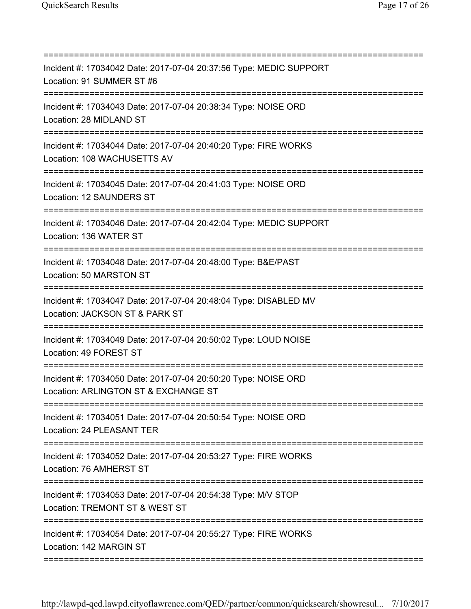=========================================================================== Incident #: 17034042 Date: 2017-07-04 20:37:56 Type: MEDIC SUPPORT Location: 91 SUMMER ST #6 =========================================================================== Incident #: 17034043 Date: 2017-07-04 20:38:34 Type: NOISE ORD Location: 28 MIDLAND ST =========================================================================== Incident #: 17034044 Date: 2017-07-04 20:40:20 Type: FIRE WORKS Location: 108 WACHUSETTS AV =========================================================================== Incident #: 17034045 Date: 2017-07-04 20:41:03 Type: NOISE ORD Location: 12 SAUNDERS ST =========================================================================== Incident #: 17034046 Date: 2017-07-04 20:42:04 Type: MEDIC SUPPORT Location: 136 WATER ST =========================================================================== Incident #: 17034048 Date: 2017-07-04 20:48:00 Type: B&E/PAST Location: 50 MARSTON ST =========================================================================== Incident #: 17034047 Date: 2017-07-04 20:48:04 Type: DISABLED MV Location: JACKSON ST & PARK ST =========================================================================== Incident #: 17034049 Date: 2017-07-04 20:50:02 Type: LOUD NOISE Location: 49 FOREST ST =========================================================================== Incident #: 17034050 Date: 2017-07-04 20:50:20 Type: NOISE ORD Location: ARLINGTON ST & EXCHANGE ST =========================================================================== Incident #: 17034051 Date: 2017-07-04 20:50:54 Type: NOISE ORD Location: 24 PLEASANT TER =========================================================================== Incident #: 17034052 Date: 2017-07-04 20:53:27 Type: FIRE WORKS Location: 76 AMHERST ST =========================================================================== Incident #: 17034053 Date: 2017-07-04 20:54:38 Type: M/V STOP Location: TREMONT ST & WEST ST =========================================================================== Incident #: 17034054 Date: 2017-07-04 20:55:27 Type: FIRE WORKS Location: 142 MARGIN ST ===========================================================================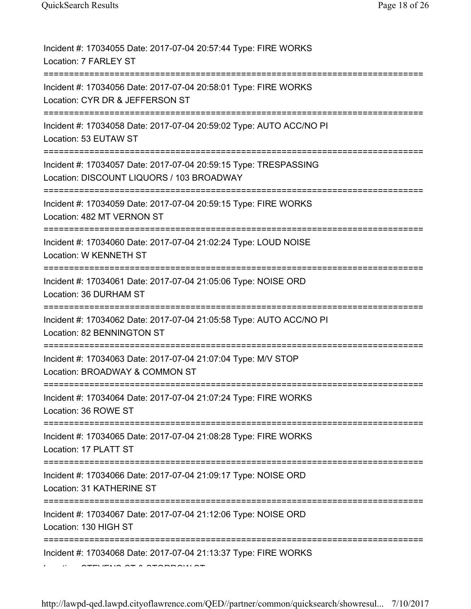| Incident #: 17034055 Date: 2017-07-04 20:57:44 Type: FIRE WORKS<br>Location: 7 FARLEY ST                                |
|-------------------------------------------------------------------------------------------------------------------------|
| Incident #: 17034056 Date: 2017-07-04 20:58:01 Type: FIRE WORKS<br>Location: CYR DR & JEFFERSON ST<br>================= |
| Incident #: 17034058 Date: 2017-07-04 20:59:02 Type: AUTO ACC/NO PI<br>Location: 53 EUTAW ST                            |
| Incident #: 17034057 Date: 2017-07-04 20:59:15 Type: TRESPASSING<br>Location: DISCOUNT LIQUORS / 103 BROADWAY           |
| Incident #: 17034059 Date: 2017-07-04 20:59:15 Type: FIRE WORKS<br>Location: 482 MT VERNON ST                           |
| Incident #: 17034060 Date: 2017-07-04 21:02:24 Type: LOUD NOISE<br>Location: W KENNETH ST                               |
| Incident #: 17034061 Date: 2017-07-04 21:05:06 Type: NOISE ORD<br>Location: 36 DURHAM ST                                |
| Incident #: 17034062 Date: 2017-07-04 21:05:58 Type: AUTO ACC/NO PI<br>Location: 82 BENNINGTON ST                       |
| Incident #: 17034063 Date: 2017-07-04 21:07:04 Type: M/V STOP<br>Location: BROADWAY & COMMON ST                         |
| Incident #: 17034064 Date: 2017-07-04 21:07:24 Type: FIRE WORKS<br>Location: 36 ROWE ST                                 |
| Incident #: 17034065 Date: 2017-07-04 21:08:28 Type: FIRE WORKS<br>Location: 17 PLATT ST                                |
| Incident #: 17034066 Date: 2017-07-04 21:09:17 Type: NOISE ORD<br>Location: 31 KATHERINE ST                             |
| Incident #: 17034067 Date: 2017-07-04 21:12:06 Type: NOISE ORD<br>Location: 130 HIGH ST                                 |
| Incident #: 17034068 Date: 2017-07-04 21:13:37 Type: FIRE WORKS                                                         |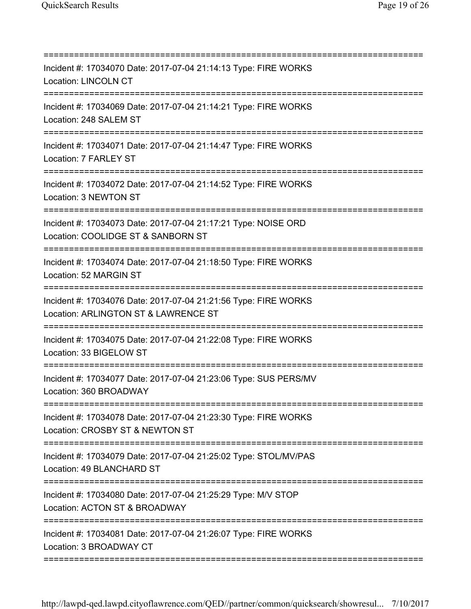| Incident #: 17034070 Date: 2017-07-04 21:14:13 Type: FIRE WORKS<br><b>Location: LINCOLN CT</b><br>==============================   |
|------------------------------------------------------------------------------------------------------------------------------------|
| Incident #: 17034069 Date: 2017-07-04 21:14:21 Type: FIRE WORKS<br>Location: 248 SALEM ST                                          |
| Incident #: 17034071 Date: 2017-07-04 21:14:47 Type: FIRE WORKS<br>Location: 7 FARLEY ST                                           |
| Incident #: 17034072 Date: 2017-07-04 21:14:52 Type: FIRE WORKS<br>Location: 3 NEWTON ST                                           |
| Incident #: 17034073 Date: 2017-07-04 21:17:21 Type: NOISE ORD<br>Location: COOLIDGE ST & SANBORN ST                               |
| Incident #: 17034074 Date: 2017-07-04 21:18:50 Type: FIRE WORKS<br>Location: 52 MARGIN ST<br>;===============================      |
| Incident #: 17034076 Date: 2017-07-04 21:21:56 Type: FIRE WORKS<br>Location: ARLINGTON ST & LAWRENCE ST                            |
| Incident #: 17034075 Date: 2017-07-04 21:22:08 Type: FIRE WORKS<br>Location: 33 BIGELOW ST                                         |
| Incident #: 17034077 Date: 2017-07-04 21:23:06 Type: SUS PERS/MV<br>Location: 360 BROADWAY                                         |
| ============================<br>Incident #: 17034078 Date: 2017-07-04 21:23:30 Type: FIRE WORKS<br>Location: CROSBY ST & NEWTON ST |
| Incident #: 17034079 Date: 2017-07-04 21:25:02 Type: STOL/MV/PAS<br>Location: 49 BLANCHARD ST                                      |
| Incident #: 17034080 Date: 2017-07-04 21:25:29 Type: M/V STOP<br>Location: ACTON ST & BROADWAY                                     |
| Incident #: 17034081 Date: 2017-07-04 21:26:07 Type: FIRE WORKS<br>Location: 3 BROADWAY CT                                         |

===========================================================================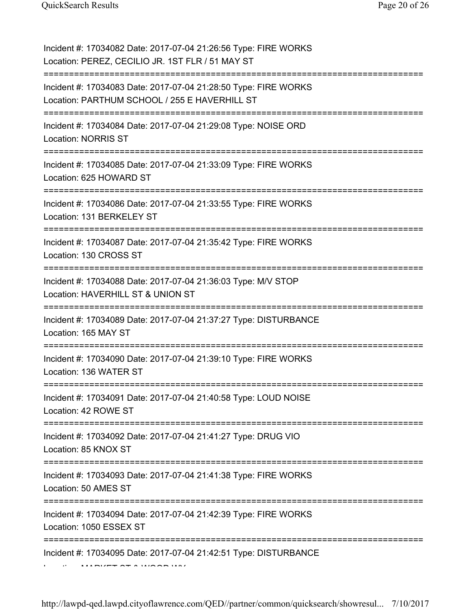| Incident #: 17034082 Date: 2017-07-04 21:26:56 Type: FIRE WORKS<br>Location: PEREZ, CECILIO JR. 1ST FLR / 51 MAY ST |
|---------------------------------------------------------------------------------------------------------------------|
| Incident #: 17034083 Date: 2017-07-04 21:28:50 Type: FIRE WORKS<br>Location: PARTHUM SCHOOL / 255 E HAVERHILL ST    |
| Incident #: 17034084 Date: 2017-07-04 21:29:08 Type: NOISE ORD<br><b>Location: NORRIS ST</b>                        |
| Incident #: 17034085 Date: 2017-07-04 21:33:09 Type: FIRE WORKS<br>Location: 625 HOWARD ST                          |
| Incident #: 17034086 Date: 2017-07-04 21:33:55 Type: FIRE WORKS<br>Location: 131 BERKELEY ST                        |
| Incident #: 17034087 Date: 2017-07-04 21:35:42 Type: FIRE WORKS<br>Location: 130 CROSS ST                           |
| Incident #: 17034088 Date: 2017-07-04 21:36:03 Type: M/V STOP<br>Location: HAVERHILL ST & UNION ST                  |
| Incident #: 17034089 Date: 2017-07-04 21:37:27 Type: DISTURBANCE<br>Location: 165 MAY ST                            |
| Incident #: 17034090 Date: 2017-07-04 21:39:10 Type: FIRE WORKS<br>Location: 136 WATER ST<br>===================    |
| Incident #: 17034091 Date: 2017-07-04 21:40:58 Type: LOUD NOISE<br>Location: 42 ROWE ST                             |
| Incident #: 17034092 Date: 2017-07-04 21:41:27 Type: DRUG VIO<br>Location: 85 KNOX ST                               |
| Incident #: 17034093 Date: 2017-07-04 21:41:38 Type: FIRE WORKS<br>Location: 50 AMES ST                             |
| Incident #: 17034094 Date: 2017-07-04 21:42:39 Type: FIRE WORKS<br>Location: 1050 ESSEX ST                          |
| Incident #: 17034095 Date: 2017-07-04 21:42:51 Type: DISTURBANCE                                                    |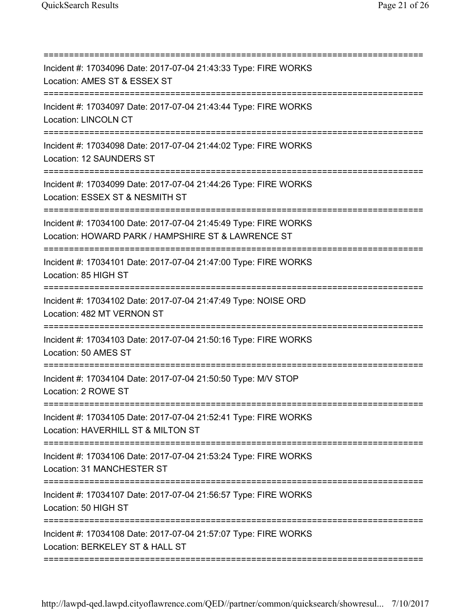=========================================================================== Incident #: 17034096 Date: 2017-07-04 21:43:33 Type: FIRE WORKS Location: AMES ST & ESSEX ST =========================================================================== Incident #: 17034097 Date: 2017-07-04 21:43:44 Type: FIRE WORKS Location: LINCOLN CT =========================================================================== Incident #: 17034098 Date: 2017-07-04 21:44:02 Type: FIRE WORKS Location: 12 SAUNDERS ST =========================================================================== Incident #: 17034099 Date: 2017-07-04 21:44:26 Type: FIRE WORKS Location: ESSEX ST & NESMITH ST =========================================================================== Incident #: 17034100 Date: 2017-07-04 21:45:49 Type: FIRE WORKS Location: HOWARD PARK / HAMPSHIRE ST & LAWRENCE ST =========================================================================== Incident #: 17034101 Date: 2017-07-04 21:47:00 Type: FIRE WORKS Location: 85 HIGH ST =========================================================================== Incident #: 17034102 Date: 2017-07-04 21:47:49 Type: NOISE ORD Location: 482 MT VERNON ST =========================================================================== Incident #: 17034103 Date: 2017-07-04 21:50:16 Type: FIRE WORKS Location: 50 AMES ST =========================================================================== Incident #: 17034104 Date: 2017-07-04 21:50:50 Type: M/V STOP Location: 2 ROWE ST =========================================================================== Incident #: 17034105 Date: 2017-07-04 21:52:41 Type: FIRE WORKS Location: HAVERHILL ST & MILTON ST =========================================================================== Incident #: 17034106 Date: 2017-07-04 21:53:24 Type: FIRE WORKS Location: 31 MANCHESTER ST =========================================================================== Incident #: 17034107 Date: 2017-07-04 21:56:57 Type: FIRE WORKS Location: 50 HIGH ST =========================================================================== Incident #: 17034108 Date: 2017-07-04 21:57:07 Type: FIRE WORKS Location: BERKELEY ST & HALL ST ===========================================================================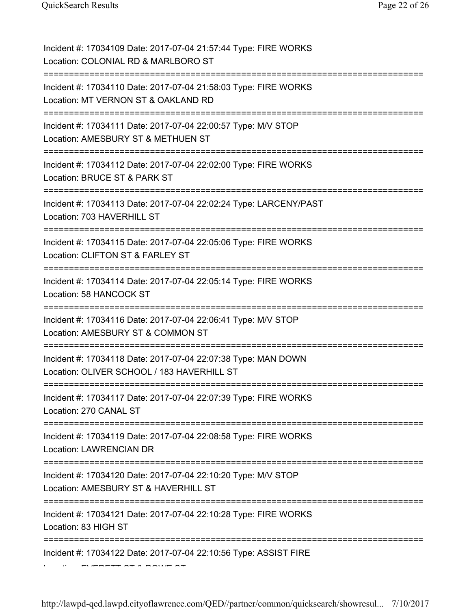| Incident #: 17034109 Date: 2017-07-04 21:57:44 Type: FIRE WORKS<br>Location: COLONIAL RD & MARLBORO ST                             |
|------------------------------------------------------------------------------------------------------------------------------------|
| Incident #: 17034110 Date: 2017-07-04 21:58:03 Type: FIRE WORKS<br>Location: MT VERNON ST & OAKLAND RD                             |
| Incident #: 17034111 Date: 2017-07-04 22:00:57 Type: M/V STOP<br>Location: AMESBURY ST & METHUEN ST                                |
| Incident #: 17034112 Date: 2017-07-04 22:02:00 Type: FIRE WORKS<br>Location: BRUCE ST & PARK ST                                    |
| Incident #: 17034113 Date: 2017-07-04 22:02:24 Type: LARCENY/PAST<br>Location: 703 HAVERHILL ST                                    |
| Incident #: 17034115 Date: 2017-07-04 22:05:06 Type: FIRE WORKS<br>Location: CLIFTON ST & FARLEY ST                                |
| Incident #: 17034114 Date: 2017-07-04 22:05:14 Type: FIRE WORKS<br>Location: 58 HANCOCK ST                                         |
| Incident #: 17034116 Date: 2017-07-04 22:06:41 Type: M/V STOP<br>Location: AMESBURY ST & COMMON ST                                 |
| Incident #: 17034118 Date: 2017-07-04 22:07:38 Type: MAN DOWN<br>Location: OLIVER SCHOOL / 183 HAVERHILL ST                        |
| Incident #: 17034117 Date: 2017-07-04 22:07:39 Type: FIRE WORKS<br>Location: 270 CANAL ST                                          |
| Incident #: 17034119 Date: 2017-07-04 22:08:58 Type: FIRE WORKS<br>Location: LAWRENCIAN DR                                         |
| Incident #: 17034120 Date: 2017-07-04 22:10:20 Type: M/V STOP<br>Location: AMESBURY ST & HAVERHILL ST<br>========================= |
| Incident #: 17034121 Date: 2017-07-04 22:10:28 Type: FIRE WORKS<br>Location: 83 HIGH ST<br>==========                              |
| Incident #: 17034122 Date: 2017-07-04 22:10:56 Type: ASSIST FIRE                                                                   |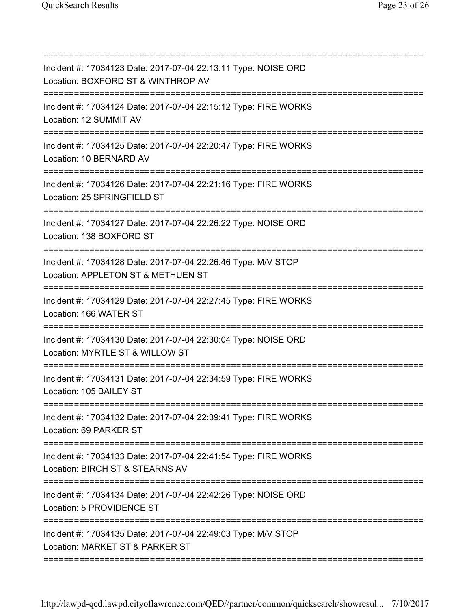| Incident #: 17034123 Date: 2017-07-04 22:13:11 Type: NOISE ORD<br>Location: BOXFORD ST & WINTHROP AV                                       |
|--------------------------------------------------------------------------------------------------------------------------------------------|
|                                                                                                                                            |
| Incident #: 17034124 Date: 2017-07-04 22:15:12 Type: FIRE WORKS<br>Location: 12 SUMMIT AV                                                  |
| Incident #: 17034125 Date: 2017-07-04 22:20:47 Type: FIRE WORKS<br>Location: 10 BERNARD AV<br>----------------------------                 |
| Incident #: 17034126 Date: 2017-07-04 22:21:16 Type: FIRE WORKS<br>Location: 25 SPRINGFIELD ST                                             |
| Incident #: 17034127 Date: 2017-07-04 22:26:22 Type: NOISE ORD<br>Location: 138 BOXFORD ST                                                 |
| Incident #: 17034128 Date: 2017-07-04 22:26:46 Type: M/V STOP<br>Location: APPLETON ST & METHUEN ST                                        |
| Incident #: 17034129 Date: 2017-07-04 22:27:45 Type: FIRE WORKS<br>Location: 166 WATER ST                                                  |
| Incident #: 17034130 Date: 2017-07-04 22:30:04 Type: NOISE ORD<br>Location: MYRTLE ST & WILLOW ST                                          |
| Incident #: 17034131 Date: 2017-07-04 22:34:59 Type: FIRE WORKS<br>Location: 105 BAILEY ST                                                 |
| =======================<br>Incident #: 17034132 Date: 2017-07-04 22:39:41 Type: FIRE WORKS<br>Location: 69 PARKER ST                       |
| Incident #: 17034133 Date: 2017-07-04 22:41:54 Type: FIRE WORKS<br>Location: BIRCH ST & STEARNS AV                                         |
| Incident #: 17034134 Date: 2017-07-04 22:42:26 Type: NOISE ORD<br>Location: 5 PROVIDENCE ST                                                |
| Incident #: 17034135 Date: 2017-07-04 22:49:03 Type: M/V STOP<br>Location: MARKET ST & PARKER ST<br>====================================== |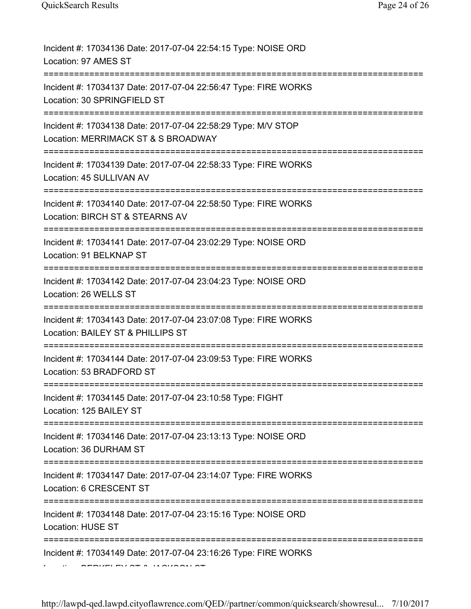| Incident #: 17034136 Date: 2017-07-04 22:54:15 Type: NOISE ORD<br>Location: 97 AMES ST               |
|------------------------------------------------------------------------------------------------------|
| Incident #: 17034137 Date: 2017-07-04 22:56:47 Type: FIRE WORKS<br>Location: 30 SPRINGFIELD ST       |
| Incident #: 17034138 Date: 2017-07-04 22:58:29 Type: M/V STOP<br>Location: MERRIMACK ST & S BROADWAY |
| Incident #: 17034139 Date: 2017-07-04 22:58:33 Type: FIRE WORKS<br>Location: 45 SULLIVAN AV          |
| Incident #: 17034140 Date: 2017-07-04 22:58:50 Type: FIRE WORKS<br>Location: BIRCH ST & STEARNS AV   |
| Incident #: 17034141 Date: 2017-07-04 23:02:29 Type: NOISE ORD<br>Location: 91 BELKNAP ST            |
| Incident #: 17034142 Date: 2017-07-04 23:04:23 Type: NOISE ORD<br>Location: 26 WELLS ST              |
| Incident #: 17034143 Date: 2017-07-04 23:07:08 Type: FIRE WORKS<br>Location: BAILEY ST & PHILLIPS ST |
| Incident #: 17034144 Date: 2017-07-04 23:09:53 Type: FIRE WORKS<br>Location: 53 BRADFORD ST          |
| Incident #: 17034145 Date: 2017-07-04 23:10:58 Type: FIGHT<br>Location: 125 BAILEY ST                |
| Incident #: 17034146 Date: 2017-07-04 23:13:13 Type: NOISE ORD<br>Location: 36 DURHAM ST             |
| Incident #: 17034147 Date: 2017-07-04 23:14:07 Type: FIRE WORKS<br>Location: 6 CRESCENT ST           |
| Incident #: 17034148 Date: 2017-07-04 23:15:16 Type: NOISE ORD<br>Location: HUSE ST                  |
| Incident #: 17034149 Date: 2017-07-04 23:16:26 Type: FIRE WORKS                                      |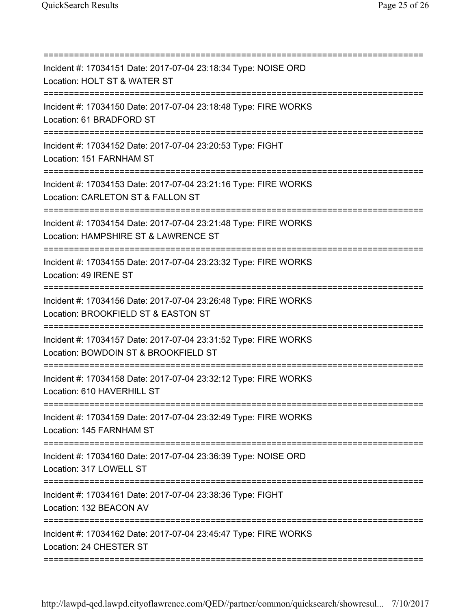| Incident #: 17034151 Date: 2017-07-04 23:18:34 Type: NOISE ORD<br>Location: HOLT ST & WATER ST<br>=====================================    |
|--------------------------------------------------------------------------------------------------------------------------------------------|
| Incident #: 17034150 Date: 2017-07-04 23:18:48 Type: FIRE WORKS<br>Location: 61 BRADFORD ST                                                |
| Incident #: 17034152 Date: 2017-07-04 23:20:53 Type: FIGHT<br>Location: 151 FARNHAM ST                                                     |
| Incident #: 17034153 Date: 2017-07-04 23:21:16 Type: FIRE WORKS<br>Location: CARLETON ST & FALLON ST                                       |
| Incident #: 17034154 Date: 2017-07-04 23:21:48 Type: FIRE WORKS<br>Location: HAMPSHIRE ST & LAWRENCE ST                                    |
| Incident #: 17034155 Date: 2017-07-04 23:23:32 Type: FIRE WORKS<br>Location: 49 IRENE ST                                                   |
| Incident #: 17034156 Date: 2017-07-04 23:26:48 Type: FIRE WORKS<br>Location: BROOKFIELD ST & EASTON ST<br>===========                      |
| Incident #: 17034157 Date: 2017-07-04 23:31:52 Type: FIRE WORKS<br>Location: BOWDOIN ST & BROOKFIELD ST<br>:============================== |
| Incident #: 17034158 Date: 2017-07-04 23:32:12 Type: FIRE WORKS<br>Location: 610 HAVERHILL ST<br>===================================       |
| =====================<br>Incident #: 17034159 Date: 2017-07-04 23:32:49 Type: FIRE WORKS<br>Location: 145 FARNHAM ST                       |
| Incident #: 17034160 Date: 2017-07-04 23:36:39 Type: NOISE ORD<br>Location: 317 LOWELL ST                                                  |
| Incident #: 17034161 Date: 2017-07-04 23:38:36 Type: FIGHT<br>Location: 132 BEACON AV                                                      |
| Incident #: 17034162 Date: 2017-07-04 23:45:47 Type: FIRE WORKS<br>Location: 24 CHESTER ST                                                 |
|                                                                                                                                            |